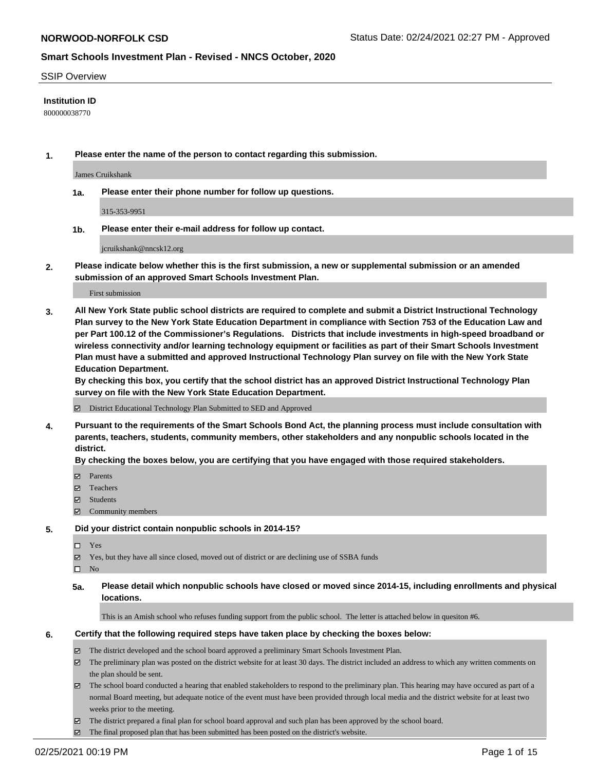### SSIP Overview

### **Institution ID**

800000038770

**1. Please enter the name of the person to contact regarding this submission.**

James Cruikshank

**1a. Please enter their phone number for follow up questions.**

315-353-9951

**1b. Please enter their e-mail address for follow up contact.**

jcruikshank@nncsk12.org

**2. Please indicate below whether this is the first submission, a new or supplemental submission or an amended submission of an approved Smart Schools Investment Plan.**

#### First submission

**3. All New York State public school districts are required to complete and submit a District Instructional Technology Plan survey to the New York State Education Department in compliance with Section 753 of the Education Law and per Part 100.12 of the Commissioner's Regulations. Districts that include investments in high-speed broadband or wireless connectivity and/or learning technology equipment or facilities as part of their Smart Schools Investment Plan must have a submitted and approved Instructional Technology Plan survey on file with the New York State Education Department.** 

**By checking this box, you certify that the school district has an approved District Instructional Technology Plan survey on file with the New York State Education Department.**

District Educational Technology Plan Submitted to SED and Approved

**4. Pursuant to the requirements of the Smart Schools Bond Act, the planning process must include consultation with parents, teachers, students, community members, other stakeholders and any nonpublic schools located in the district.** 

### **By checking the boxes below, you are certifying that you have engaged with those required stakeholders.**

- **Ø** Parents
- Teachers
- Students
- $\Xi$  Community members

#### **5. Did your district contain nonpublic schools in 2014-15?**

- □ Yes
- Yes, but they have all since closed, moved out of district or are declining use of SSBA funds
- $\hfill \square$  No
- **5a. Please detail which nonpublic schools have closed or moved since 2014-15, including enrollments and physical locations.**

This is an Amish school who refuses funding support from the public school. The letter is attached below in quesiton #6.

#### **6. Certify that the following required steps have taken place by checking the boxes below:**

- The district developed and the school board approved a preliminary Smart Schools Investment Plan.
- The preliminary plan was posted on the district website for at least 30 days. The district included an address to which any written comments on the plan should be sent.

The school board conducted a hearing that enabled stakeholders to respond to the preliminary plan. This hearing may have occured as part of a normal Board meeting, but adequate notice of the event must have been provided through local media and the district website for at least two weeks prior to the meeting.

The district prepared a final plan for school board approval and such plan has been approved by the school board.

The final proposed plan that has been submitted has been posted on the district's website.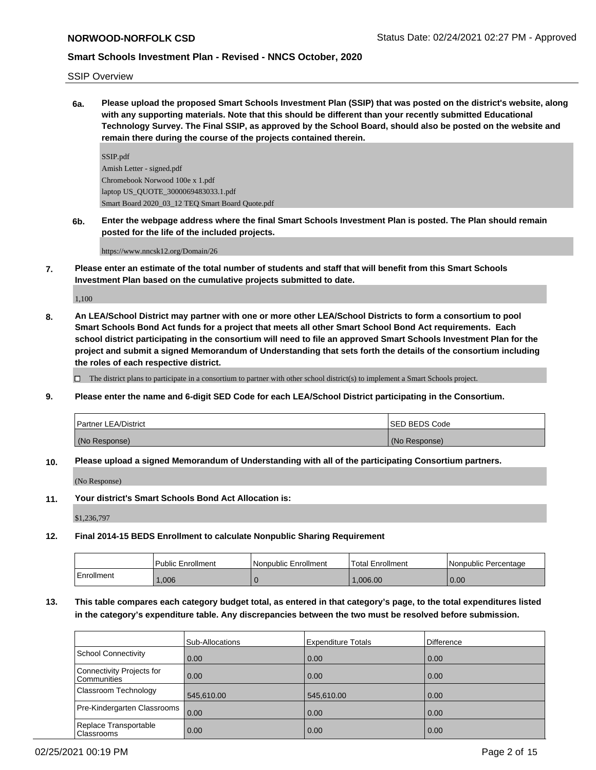## SSIP Overview

**6a. Please upload the proposed Smart Schools Investment Plan (SSIP) that was posted on the district's website, along with any supporting materials. Note that this should be different than your recently submitted Educational Technology Survey. The Final SSIP, as approved by the School Board, should also be posted on the website and remain there during the course of the projects contained therein.**

SSIP.pdf Amish Letter - signed.pdf Chromebook Norwood 100e x 1.pdf laptop US\_QUOTE\_3000069483033.1.pdf Smart Board 2020\_03\_12 TEQ Smart Board Quote.pdf

**6b. Enter the webpage address where the final Smart Schools Investment Plan is posted. The Plan should remain posted for the life of the included projects.**

https://www.nncsk12.org/Domain/26

**7. Please enter an estimate of the total number of students and staff that will benefit from this Smart Schools Investment Plan based on the cumulative projects submitted to date.**

1,100

**8. An LEA/School District may partner with one or more other LEA/School Districts to form a consortium to pool Smart Schools Bond Act funds for a project that meets all other Smart School Bond Act requirements. Each school district participating in the consortium will need to file an approved Smart Schools Investment Plan for the project and submit a signed Memorandum of Understanding that sets forth the details of the consortium including the roles of each respective district.**

 $\Box$  The district plans to participate in a consortium to partner with other school district(s) to implement a Smart Schools project.

**9. Please enter the name and 6-digit SED Code for each LEA/School District participating in the Consortium.**

| Partner LEA/District | <b>ISED BEDS Code</b> |
|----------------------|-----------------------|
| (No Response)        | (No Response)         |

**10. Please upload a signed Memorandum of Understanding with all of the participating Consortium partners.**

(No Response)

**11. Your district's Smart Schools Bond Act Allocation is:**

\$1,236,797

**12. Final 2014-15 BEDS Enrollment to calculate Nonpublic Sharing Requirement**

|            | <b>Public Enrollment</b> | l Nonpublic Enrollment | <b>Total Enrollment</b> | l Nonpublic Percentage |
|------------|--------------------------|------------------------|-------------------------|------------------------|
| Enrollment | .006                     |                        | .006.00                 | 0.00                   |

# **13. This table compares each category budget total, as entered in that category's page, to the total expenditures listed in the category's expenditure table. Any discrepancies between the two must be resolved before submission.**

|                                                 | <b>Sub-Allocations</b> | <b>Expenditure Totals</b> | <b>Difference</b> |
|-------------------------------------------------|------------------------|---------------------------|-------------------|
| School Connectivity                             | 0.00                   | 0.00                      | 0.00              |
| Connectivity Projects for<br><b>Communities</b> | 0.00                   | 0.00                      | 0.00              |
| Classroom Technology                            | 545,610.00             | 545,610.00                | 0.00              |
| Pre-Kindergarten Classrooms                     | 0.00                   | 0.00                      | 0.00              |
| Replace Transportable<br><b>Classrooms</b>      | 0.00                   | 0.00                      | 0.00              |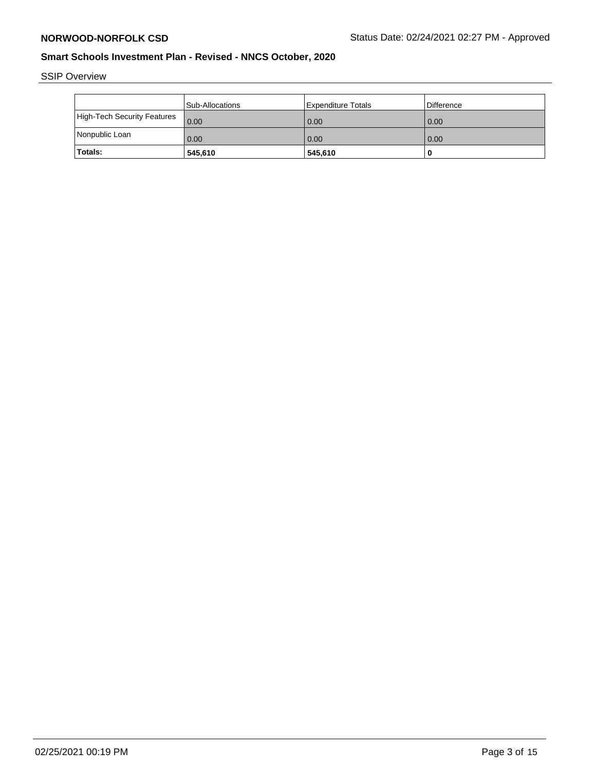SSIP Overview

|                             | Sub-Allocations | Expenditure Totals | Difference |
|-----------------------------|-----------------|--------------------|------------|
| High-Tech Security Features | 0.00            | 0.00               | 0.00       |
| Nonpublic Loan              | 0.00            | 0.00               | 0.00       |
| <b>Totals:</b>              | 545,610         | 545,610            |            |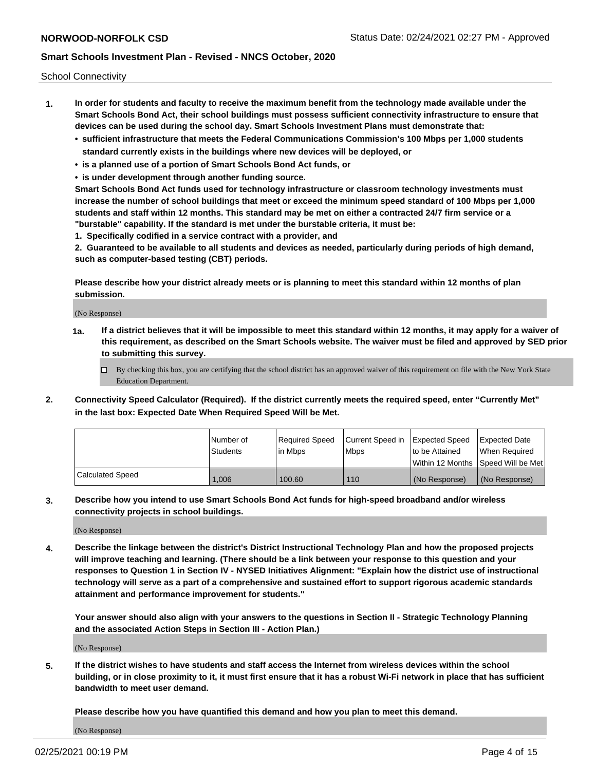School Connectivity

- **1. In order for students and faculty to receive the maximum benefit from the technology made available under the Smart Schools Bond Act, their school buildings must possess sufficient connectivity infrastructure to ensure that devices can be used during the school day. Smart Schools Investment Plans must demonstrate that:**
	- **• sufficient infrastructure that meets the Federal Communications Commission's 100 Mbps per 1,000 students standard currently exists in the buildings where new devices will be deployed, or**
	- **• is a planned use of a portion of Smart Schools Bond Act funds, or**
	- **• is under development through another funding source.**

**Smart Schools Bond Act funds used for technology infrastructure or classroom technology investments must increase the number of school buildings that meet or exceed the minimum speed standard of 100 Mbps per 1,000 students and staff within 12 months. This standard may be met on either a contracted 24/7 firm service or a "burstable" capability. If the standard is met under the burstable criteria, it must be:**

**1. Specifically codified in a service contract with a provider, and**

**2. Guaranteed to be available to all students and devices as needed, particularly during periods of high demand, such as computer-based testing (CBT) periods.**

**Please describe how your district already meets or is planning to meet this standard within 12 months of plan submission.**

(No Response)

**1a. If a district believes that it will be impossible to meet this standard within 12 months, it may apply for a waiver of this requirement, as described on the Smart Schools website. The waiver must be filed and approved by SED prior to submitting this survey.**

 $\Box$  By checking this box, you are certifying that the school district has an approved waiver of this requirement on file with the New York State Education Department.

**2. Connectivity Speed Calculator (Required). If the district currently meets the required speed, enter "Currently Met" in the last box: Expected Date When Required Speed Will be Met.**

|                  | l Number of     | Required Speed | Current Speed in Expected Speed |                | Expected Date                           |
|------------------|-----------------|----------------|---------------------------------|----------------|-----------------------------------------|
|                  | <b>Students</b> | lin Mbps       | <b>Mbps</b>                     | to be Attained | When Reauired                           |
|                  |                 |                |                                 |                | l Within 12 Months ISpeed Will be Met l |
| Calculated Speed | 1.006           | 100.60         | 110                             | (No Response)  | l (No Response)                         |

**3. Describe how you intend to use Smart Schools Bond Act funds for high-speed broadband and/or wireless connectivity projects in school buildings.**

(No Response)

**4. Describe the linkage between the district's District Instructional Technology Plan and how the proposed projects will improve teaching and learning. (There should be a link between your response to this question and your responses to Question 1 in Section IV - NYSED Initiatives Alignment: "Explain how the district use of instructional technology will serve as a part of a comprehensive and sustained effort to support rigorous academic standards attainment and performance improvement for students."** 

**Your answer should also align with your answers to the questions in Section II - Strategic Technology Planning and the associated Action Steps in Section III - Action Plan.)**

(No Response)

**5. If the district wishes to have students and staff access the Internet from wireless devices within the school building, or in close proximity to it, it must first ensure that it has a robust Wi-Fi network in place that has sufficient bandwidth to meet user demand.**

**Please describe how you have quantified this demand and how you plan to meet this demand.**

(No Response)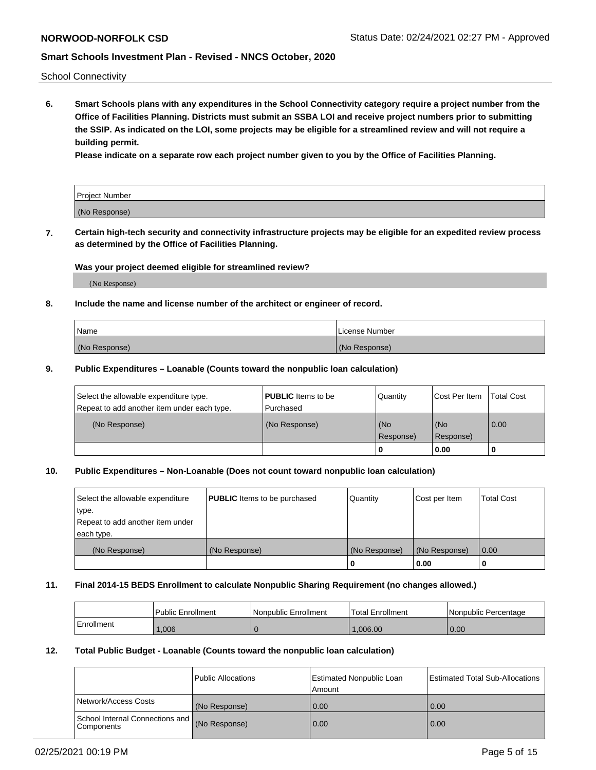School Connectivity

**6. Smart Schools plans with any expenditures in the School Connectivity category require a project number from the Office of Facilities Planning. Districts must submit an SSBA LOI and receive project numbers prior to submitting the SSIP. As indicated on the LOI, some projects may be eligible for a streamlined review and will not require a building permit.**

**Please indicate on a separate row each project number given to you by the Office of Facilities Planning.**

| Project Number |  |
|----------------|--|
| (No Response)  |  |

**7. Certain high-tech security and connectivity infrastructure projects may be eligible for an expedited review process as determined by the Office of Facilities Planning.**

### **Was your project deemed eligible for streamlined review?**

(No Response)

## **8. Include the name and license number of the architect or engineer of record.**

| Name          | License Number |
|---------------|----------------|
| (No Response) | (No Response)  |

### **9. Public Expenditures – Loanable (Counts toward the nonpublic loan calculation)**

| Select the allowable expenditure type.<br>Repeat to add another item under each type. | <b>PUBLIC</b> Items to be<br>l Purchased | Quantity           | Cost Per Item    | <b>Total Cost</b> |
|---------------------------------------------------------------------------------------|------------------------------------------|--------------------|------------------|-------------------|
| (No Response)                                                                         | (No Response)                            | l (No<br>Response) | (No<br>Response) | $\overline{0.00}$ |
|                                                                                       |                                          | 0                  | 0.00             |                   |

## **10. Public Expenditures – Non-Loanable (Does not count toward nonpublic loan calculation)**

| Select the allowable expenditure<br>type.<br>Repeat to add another item under<br>each type. | <b>PUBLIC</b> Items to be purchased | Quantity      | Cost per Item | <b>Total Cost</b> |
|---------------------------------------------------------------------------------------------|-------------------------------------|---------------|---------------|-------------------|
| (No Response)                                                                               | (No Response)                       | (No Response) | (No Response) | 0.00              |
|                                                                                             |                                     |               | 0.00          |                   |

#### **11. Final 2014-15 BEDS Enrollment to calculate Nonpublic Sharing Requirement (no changes allowed.)**

|            | Public Enrollment | l Nonpublic Enrollment | <b>Total Enrollment</b> | Nonpublic Percentage |
|------------|-------------------|------------------------|-------------------------|----------------------|
| Enrollment | .006              |                        | .006.00                 | 0.00                 |

### **12. Total Public Budget - Loanable (Counts toward the nonpublic loan calculation)**

|                                                      | Public Allocations | <b>Estimated Nonpublic Loan</b><br>Amount | Estimated Total Sub-Allocations |
|------------------------------------------------------|--------------------|-------------------------------------------|---------------------------------|
| Network/Access Costs                                 | (No Response)      | 0.00                                      | 0.00                            |
| School Internal Connections and<br><b>Components</b> | (No Response)      | 0.00                                      | 0.00                            |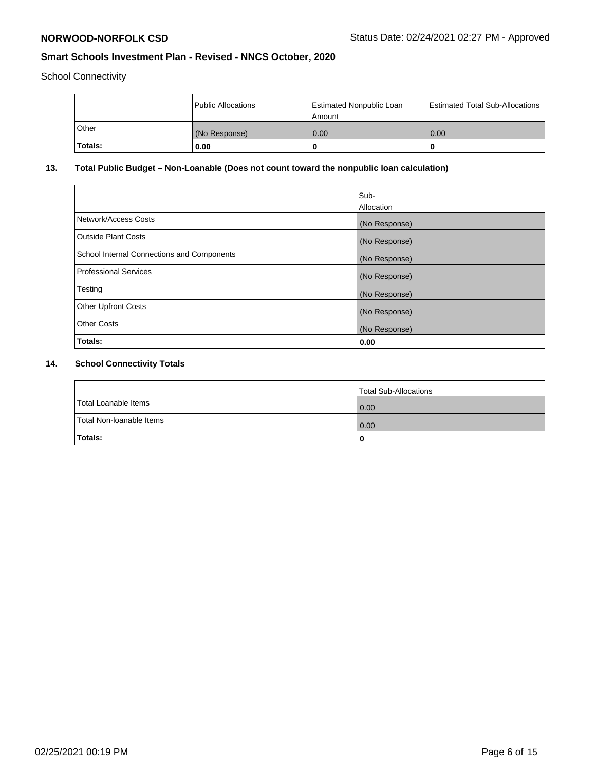School Connectivity

|         | Public Allocations | <b>Estimated Nonpublic Loan</b><br>Amount | <b>Estimated Total Sub-Allocations</b> |
|---------|--------------------|-------------------------------------------|----------------------------------------|
| l Other | (No Response)      | 0.00                                      | 0.00                                   |
| Totals: | 0.00               | 0                                         |                                        |

## **13. Total Public Budget – Non-Loanable (Does not count toward the nonpublic loan calculation)**

|                                                   | Sub-<br>Allocation |
|---------------------------------------------------|--------------------|
| Network/Access Costs                              | (No Response)      |
| <b>Outside Plant Costs</b>                        | (No Response)      |
| <b>School Internal Connections and Components</b> | (No Response)      |
| Professional Services                             | (No Response)      |
| Testing                                           | (No Response)      |
| <b>Other Upfront Costs</b>                        | (No Response)      |
| <b>Other Costs</b>                                | (No Response)      |
| Totals:                                           | 0.00               |

# **14. School Connectivity Totals**

|                          | Total Sub-Allocations |
|--------------------------|-----------------------|
| Total Loanable Items     | 0.00                  |
| Total Non-Ioanable Items | 0.00                  |
| <b>Totals:</b>           | 0                     |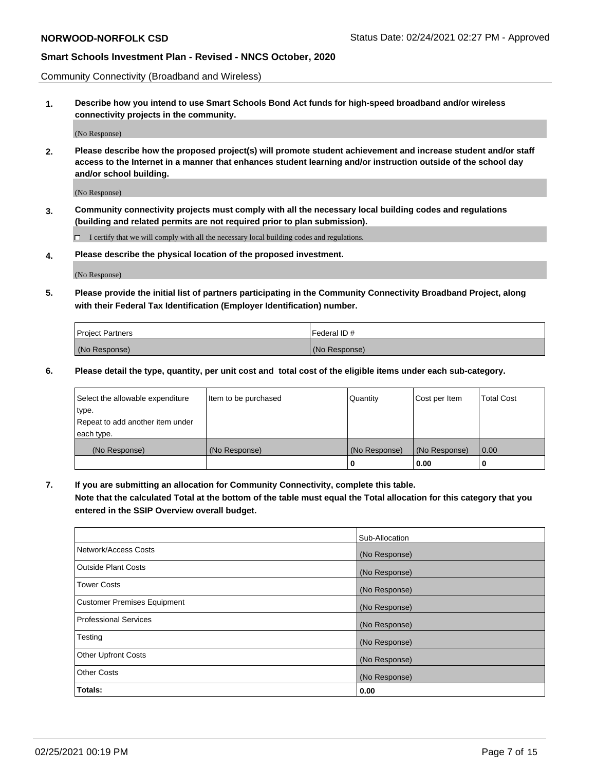Community Connectivity (Broadband and Wireless)

**1. Describe how you intend to use Smart Schools Bond Act funds for high-speed broadband and/or wireless connectivity projects in the community.**

(No Response)

**2. Please describe how the proposed project(s) will promote student achievement and increase student and/or staff access to the Internet in a manner that enhances student learning and/or instruction outside of the school day and/or school building.**

(No Response)

**3. Community connectivity projects must comply with all the necessary local building codes and regulations (building and related permits are not required prior to plan submission).**

 $\Box$  I certify that we will comply with all the necessary local building codes and regulations.

**4. Please describe the physical location of the proposed investment.**

(No Response)

**5. Please provide the initial list of partners participating in the Community Connectivity Broadband Project, along with their Federal Tax Identification (Employer Identification) number.**

| <b>Project Partners</b> | l Federal ID # |
|-------------------------|----------------|
| (No Response)           | (No Response)  |

**6. Please detail the type, quantity, per unit cost and total cost of the eligible items under each sub-category.**

| Select the allowable expenditure | Item to be purchased | Quantity      | Cost per Item | <b>Total Cost</b> |
|----------------------------------|----------------------|---------------|---------------|-------------------|
| type.                            |                      |               |               |                   |
| Repeat to add another item under |                      |               |               |                   |
| each type.                       |                      |               |               |                   |
| (No Response)                    | (No Response)        | (No Response) | (No Response) | 0.00              |
|                                  |                      | o             | 0.00          |                   |

**7. If you are submitting an allocation for Community Connectivity, complete this table.**

**Note that the calculated Total at the bottom of the table must equal the Total allocation for this category that you entered in the SSIP Overview overall budget.**

|                                    | Sub-Allocation |
|------------------------------------|----------------|
| Network/Access Costs               | (No Response)  |
| Outside Plant Costs                | (No Response)  |
| <b>Tower Costs</b>                 | (No Response)  |
| <b>Customer Premises Equipment</b> | (No Response)  |
| <b>Professional Services</b>       | (No Response)  |
| Testing                            | (No Response)  |
| <b>Other Upfront Costs</b>         | (No Response)  |
| <b>Other Costs</b>                 | (No Response)  |
| Totals:                            | 0.00           |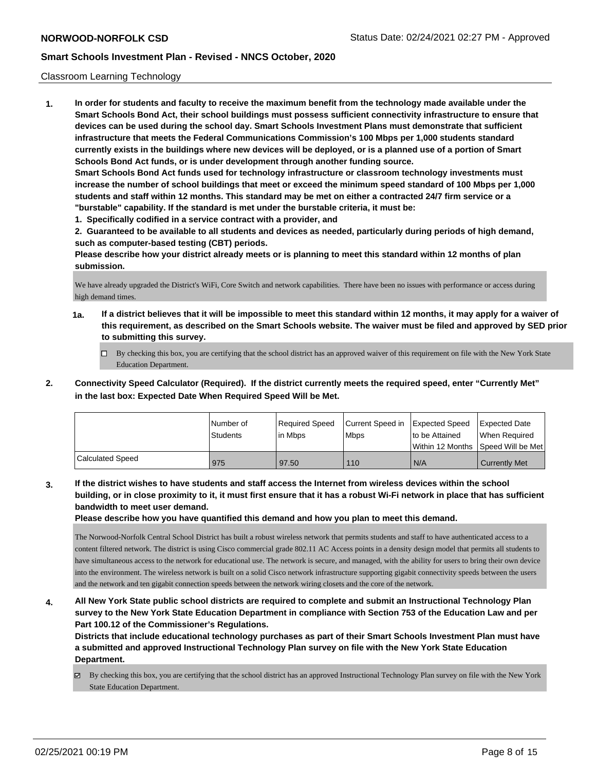## Classroom Learning Technology

**1. In order for students and faculty to receive the maximum benefit from the technology made available under the Smart Schools Bond Act, their school buildings must possess sufficient connectivity infrastructure to ensure that devices can be used during the school day. Smart Schools Investment Plans must demonstrate that sufficient infrastructure that meets the Federal Communications Commission's 100 Mbps per 1,000 students standard currently exists in the buildings where new devices will be deployed, or is a planned use of a portion of Smart Schools Bond Act funds, or is under development through another funding source. Smart Schools Bond Act funds used for technology infrastructure or classroom technology investments must increase the number of school buildings that meet or exceed the minimum speed standard of 100 Mbps per 1,000 students and staff within 12 months. This standard may be met on either a contracted 24/7 firm service or a**

- **"burstable" capability. If the standard is met under the burstable criteria, it must be:**
- **1. Specifically codified in a service contract with a provider, and**

**2. Guaranteed to be available to all students and devices as needed, particularly during periods of high demand, such as computer-based testing (CBT) periods.**

**Please describe how your district already meets or is planning to meet this standard within 12 months of plan submission.**

We have already upgraded the District's WiFi, Core Switch and network capabilities. There have been no issues with performance or access during high demand times.

- **1a. If a district believes that it will be impossible to meet this standard within 12 months, it may apply for a waiver of this requirement, as described on the Smart Schools website. The waiver must be filed and approved by SED prior to submitting this survey.**
	- By checking this box, you are certifying that the school district has an approved waiver of this requirement on file with the New York State Education Department.
- **2. Connectivity Speed Calculator (Required). If the district currently meets the required speed, enter "Currently Met" in the last box: Expected Date When Required Speed Will be Met.**

|                         | l Number of<br>Students | Required Speed<br>l in Mbps | Current Speed in Expected Speed<br>l Mbps | to be Attained | <b>Expected Date</b><br>When Required<br>Within 12 Months ISpeed Will be Met l |
|-------------------------|-------------------------|-----------------------------|-------------------------------------------|----------------|--------------------------------------------------------------------------------|
| <b>Calculated Speed</b> | 975                     | 97.50                       | 110                                       | N/A            | Currently Met                                                                  |

**3. If the district wishes to have students and staff access the Internet from wireless devices within the school building, or in close proximity to it, it must first ensure that it has a robust Wi-Fi network in place that has sufficient bandwidth to meet user demand.**

**Please describe how you have quantified this demand and how you plan to meet this demand.**

The Norwood-Norfolk Central School District has built a robust wireless network that permits students and staff to have authenticated access to a content filtered network. The district is using Cisco commercial grade 802.11 AC Access points in a density design model that permits all students to have simultaneous access to the network for educational use. The network is secure, and managed, with the ability for users to bring their own device into the environment. The wireless network is built on a solid Cisco network infrastructure supporting gigabit connectivity speeds between the users and the network and ten gigabit connection speeds between the network wiring closets and the core of the network.

**4. All New York State public school districts are required to complete and submit an Instructional Technology Plan survey to the New York State Education Department in compliance with Section 753 of the Education Law and per Part 100.12 of the Commissioner's Regulations.**

**Districts that include educational technology purchases as part of their Smart Schools Investment Plan must have a submitted and approved Instructional Technology Plan survey on file with the New York State Education Department.**

 $\boxtimes$  By checking this box, you are certifying that the school district has an approved Instructional Technology Plan survey on file with the New York State Education Department.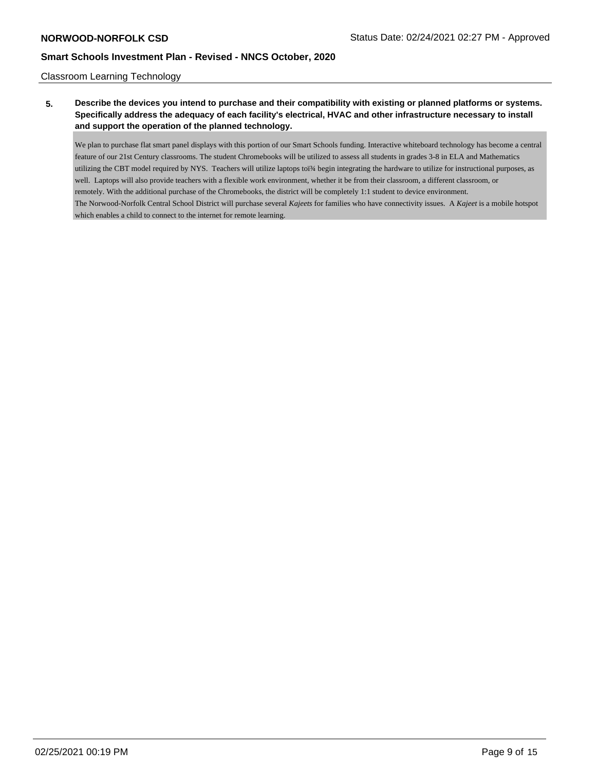### Classroom Learning Technology

# **5. Describe the devices you intend to purchase and their compatibility with existing or planned platforms or systems. Specifically address the adequacy of each facility's electrical, HVAC and other infrastructure necessary to install and support the operation of the planned technology.**

We plan to purchase flat smart panel displays with this portion of our Smart Schools funding. Interactive whiteboard technology has become a central feature of our 21st Century classrooms. The student Chromebooks will be utilized to assess all students in grades 3-8 in ELA and Mathematics utilizing the CBT model required by NYS. Teachers will utilize laptops toï<sup>3</sup>/4 begin integrating the hardware to utilize for instructional purposes, as well. Laptops will also provide teachers with a flexible work environment, whether it be from their classroom, a different classroom, or remotely. With the additional purchase of the Chromebooks, the district will be completely 1:1 student to device environment. The Norwood-Norfolk Central School District will purchase several *Kajeets* for families who have connectivity issues. A *Kajeet* is a mobile hotspot which enables a child to connect to the internet for remote learning.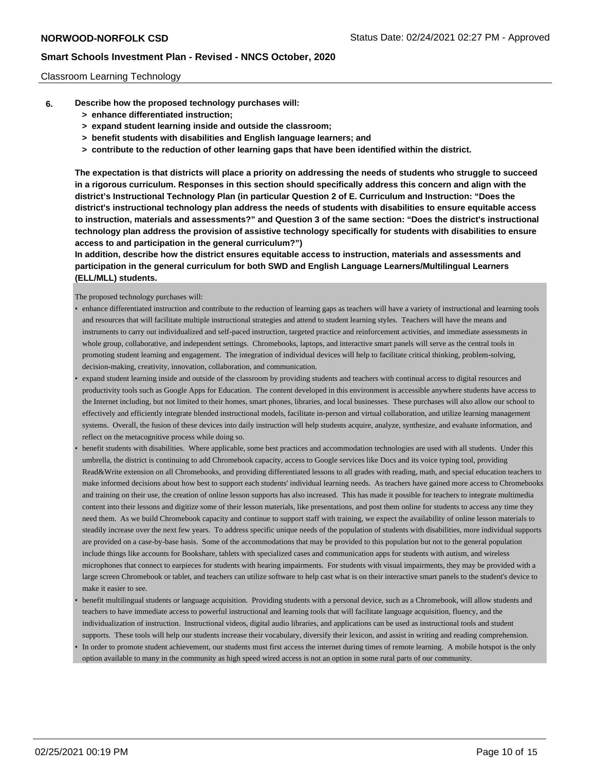### Classroom Learning Technology

- **6. Describe how the proposed technology purchases will:**
	- **> enhance differentiated instruction;**
	- **> expand student learning inside and outside the classroom;**
	- **> benefit students with disabilities and English language learners; and**
	- **> contribute to the reduction of other learning gaps that have been identified within the district.**

**The expectation is that districts will place a priority on addressing the needs of students who struggle to succeed in a rigorous curriculum. Responses in this section should specifically address this concern and align with the district's Instructional Technology Plan (in particular Question 2 of E. Curriculum and Instruction: "Does the district's instructional technology plan address the needs of students with disabilities to ensure equitable access to instruction, materials and assessments?" and Question 3 of the same section: "Does the district's instructional technology plan address the provision of assistive technology specifically for students with disabilities to ensure access to and participation in the general curriculum?")**

**In addition, describe how the district ensures equitable access to instruction, materials and assessments and participation in the general curriculum for both SWD and English Language Learners/Multilingual Learners (ELL/MLL) students.**

The proposed technology purchases will:

- enhance differentiated instruction and contribute to the reduction of learning gaps as teachers will have a variety of instructional and learning tools and resources that will facilitate multiple instructional strategies and attend to student learning styles. Teachers will have the means and instruments to carry out individualized and self-paced instruction, targeted practice and reinforcement activities, and immediate assessments in whole group, collaborative, and independent settings. Chromebooks, laptops, and interactive smart panels will serve as the central tools in promoting student learning and engagement. The integration of individual devices will help to facilitate critical thinking, problem-solving, decision-making, creativity, innovation, collaboration, and communication.
- expand student learning inside and outside of the classroom by providing students and teachers with continual access to digital resources and productivity tools such as Google Apps for Education. The content developed in this environment is accessible anywhere students have access to the Internet including, but not limited to their homes, smart phones, libraries, and local businesses. These purchases will also allow our school to effectively and efficiently integrate blended instructional models, facilitate in-person and virtual collaboration, and utilize learning management systems. Overall, the fusion of these devices into daily instruction will help students acquire, analyze, synthesize, and evaluate information, and reflect on the metacognitive process while doing so.
- benefit students with disabilities. Where applicable, some best practices and accommodation technologies are used with all students. Under this umbrella, the district is continuing to add Chromebook capacity, access to Google services like Docs and its voice typing tool, providing Read&Write extension on all Chromebooks, and providing differentiated lessons to all grades with reading, math, and special education teachers to make informed decisions about how best to support each students' individual learning needs. As teachers have gained more access to Chromebooks and training on their use, the creation of online lesson supports has also increased. This has made it possible for teachers to integrate multimedia content into their lessons and digitize some of their lesson materials, like presentations, and post them online for students to access any time they need them. As we build Chromebook capacity and continue to support staff with training, we expect the availability of online lesson materials to steadily increase over the next few years. To address specific unique needs of the population of students with disabilities, more individual supports are provided on a case-by-base basis. Some of the accommodations that may be provided to this population but not to the general population include things like accounts for Bookshare, tablets with specialized cases and communication apps for students with autism, and wireless microphones that connect to earpieces for students with hearing impairments. For students with visual impairments, they may be provided with a large screen Chromebook or tablet, and teachers can utilize software to help cast what is on their interactive smart panels to the student's device to make it easier to see.
- benefit multilingual students or language acquisition. Providing students with a personal device, such as a Chromebook, will allow students and teachers to have immediate access to powerful instructional and learning tools that will facilitate language acquisition, fluency, and the individualization of instruction. Instructional videos, digital audio libraries, and applications can be used as instructional tools and student supports. These tools will help our students increase their vocabulary, diversify their lexicon, and assist in writing and reading comprehension.
- In order to promote student achievement, our students must first access the internet during times of remote learning. A mobile hotspot is the only option available to many in the community as high speed wired access is not an option in some rural parts of our community.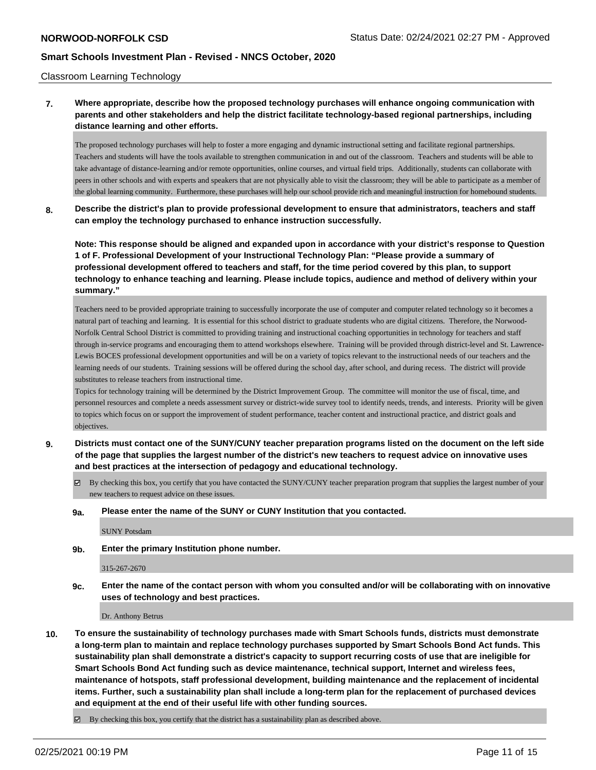### Classroom Learning Technology

## **7. Where appropriate, describe how the proposed technology purchases will enhance ongoing communication with parents and other stakeholders and help the district facilitate technology-based regional partnerships, including distance learning and other efforts.**

The proposed technology purchases will help to foster a more engaging and dynamic instructional setting and facilitate regional partnerships. Teachers and students will have the tools available to strengthen communication in and out of the classroom. Teachers and students will be able to take advantage of distance-learning and/or remote opportunities, online courses, and virtual field trips. Additionally, students can collaborate with peers in other schools and with experts and speakers that are not physically able to visit the classroom; they will be able to participate as a member of the global learning community. Furthermore, these purchases will help our school provide rich and meaningful instruction for homebound students.

**8. Describe the district's plan to provide professional development to ensure that administrators, teachers and staff can employ the technology purchased to enhance instruction successfully.**

**Note: This response should be aligned and expanded upon in accordance with your district's response to Question 1 of F. Professional Development of your Instructional Technology Plan: "Please provide a summary of professional development offered to teachers and staff, for the time period covered by this plan, to support technology to enhance teaching and learning. Please include topics, audience and method of delivery within your summary."**

Teachers need to be provided appropriate training to successfully incorporate the use of computer and computer related technology so it becomes a natural part of teaching and learning. It is essential for this school district to graduate students who are digital citizens. Therefore, the Norwood-Norfolk Central School District is committed to providing training and instructional coaching opportunities in technology for teachers and staff through in-service programs and encouraging them to attend workshops elsewhere. Training will be provided through district-level and St. Lawrence-Lewis BOCES professional development opportunities and will be on a variety of topics relevant to the instructional needs of our teachers and the learning needs of our students. Training sessions will be offered during the school day, after school, and during recess. The district will provide substitutes to release teachers from instructional time.

Topics for technology training will be determined by the District Improvement Group. The committee will monitor the use of fiscal, time, and personnel resources and complete a needs assessment survey or district-wide survey tool to identify needs, trends, and interests. Priority will be given to topics which focus on or support the improvement of student performance, teacher content and instructional practice, and district goals and objectives.

- **9. Districts must contact one of the SUNY/CUNY teacher preparation programs listed on the document on the left side of the page that supplies the largest number of the district's new teachers to request advice on innovative uses and best practices at the intersection of pedagogy and educational technology.**
	- $\boxtimes$  By checking this box, you certify that you have contacted the SUNY/CUNY teacher preparation program that supplies the largest number of your new teachers to request advice on these issues.
	- **9a. Please enter the name of the SUNY or CUNY Institution that you contacted.**

SUNY Potsdam

**9b. Enter the primary Institution phone number.**

315-267-2670

**9c. Enter the name of the contact person with whom you consulted and/or will be collaborating with on innovative uses of technology and best practices.**

Dr. Anthony Betrus

**10. To ensure the sustainability of technology purchases made with Smart Schools funds, districts must demonstrate a long-term plan to maintain and replace technology purchases supported by Smart Schools Bond Act funds. This sustainability plan shall demonstrate a district's capacity to support recurring costs of use that are ineligible for Smart Schools Bond Act funding such as device maintenance, technical support, Internet and wireless fees, maintenance of hotspots, staff professional development, building maintenance and the replacement of incidental items. Further, such a sustainability plan shall include a long-term plan for the replacement of purchased devices and equipment at the end of their useful life with other funding sources.**

 $\boxtimes$  By checking this box, you certify that the district has a sustainability plan as described above.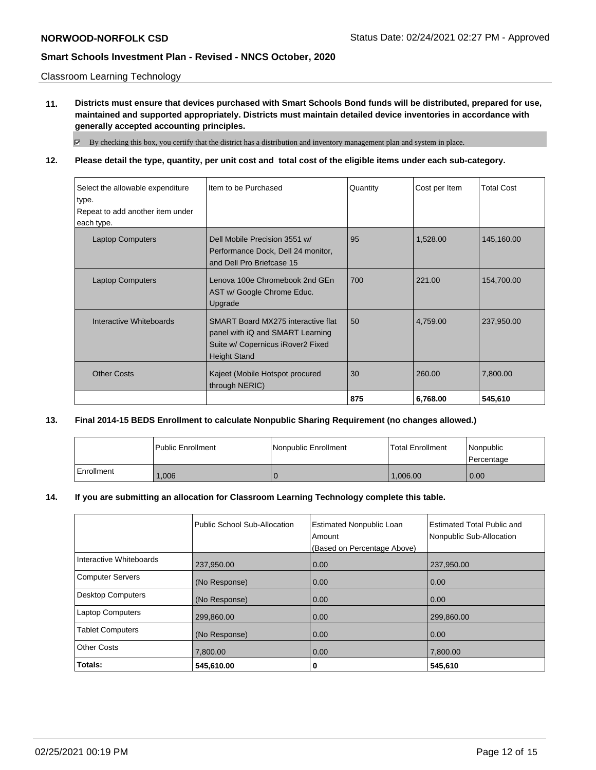Classroom Learning Technology

**11. Districts must ensure that devices purchased with Smart Schools Bond funds will be distributed, prepared for use, maintained and supported appropriately. Districts must maintain detailed device inventories in accordance with generally accepted accounting principles.**

By checking this box, you certify that the district has a distribution and inventory management plan and system in place.

**12. Please detail the type, quantity, per unit cost and total cost of the eligible items under each sub-category.**

| Select the allowable expenditure<br>type.<br>Repeat to add another item under<br>each type. | Item to be Purchased                                                                                                               | Quantity | Cost per Item | <b>Total Cost</b> |
|---------------------------------------------------------------------------------------------|------------------------------------------------------------------------------------------------------------------------------------|----------|---------------|-------------------|
| <b>Laptop Computers</b>                                                                     | Dell Mobile Precision 3551 w/<br>Performance Dock, Dell 24 monitor,<br>and Dell Pro Briefcase 15                                   | 95       | 1,528.00      | 145,160.00        |
| <b>Laptop Computers</b>                                                                     | Lenova 100e Chromebook 2nd GEn<br>AST w/ Google Chrome Educ.<br>Upgrade                                                            | 700      | 221.00        | 154,700.00        |
| Interactive Whiteboards                                                                     | SMART Board MX275 interactive flat<br>panel with iQ and SMART Learning<br>Suite w/ Copernicus iRover2 Fixed<br><b>Height Stand</b> | 50       | 4,759.00      | 237,950.00        |
| <b>Other Costs</b>                                                                          | Kajeet (Mobile Hotspot procured<br>through NERIC)                                                                                  | 30       | 260.00        | 7,800.00          |
|                                                                                             |                                                                                                                                    | 875      | 6,768.00      | 545,610           |

## **13. Final 2014-15 BEDS Enrollment to calculate Nonpublic Sharing Requirement (no changes allowed.)**

|              | <b>Public Enrollment</b> | <b>Nonpublic Enrollment</b> | <b>Total Enrollment</b> | Nonpublic<br>l Percentage |
|--------------|--------------------------|-----------------------------|-------------------------|---------------------------|
| l Enrollment | 0.006                    |                             | 1.006.00                | 0.00                      |

## **14. If you are submitting an allocation for Classroom Learning Technology complete this table.**

|                          | Public School Sub-Allocation | <b>Estimated Nonpublic Loan</b><br>Amount<br>(Based on Percentage Above) | Estimated Total Public and<br>Nonpublic Sub-Allocation |
|--------------------------|------------------------------|--------------------------------------------------------------------------|--------------------------------------------------------|
| Interactive Whiteboards  | 237,950.00                   | 0.00                                                                     | 237,950.00                                             |
| <b>Computer Servers</b>  | (No Response)                | 0.00                                                                     | 0.00                                                   |
| <b>Desktop Computers</b> | (No Response)                | 0.00                                                                     | 0.00                                                   |
| <b>Laptop Computers</b>  | 299,860.00                   | 0.00                                                                     | 299,860.00                                             |
| <b>Tablet Computers</b>  | (No Response)                | 0.00                                                                     | 0.00                                                   |
| <b>Other Costs</b>       | 7,800.00                     | 0.00                                                                     | 7,800.00                                               |
| Totals:                  | 545,610.00                   | 0                                                                        | 545,610                                                |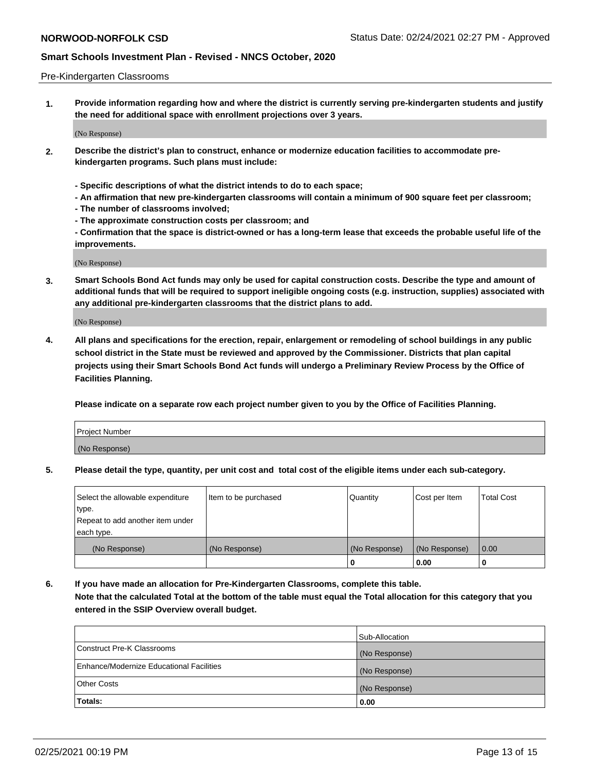### Pre-Kindergarten Classrooms

**1. Provide information regarding how and where the district is currently serving pre-kindergarten students and justify the need for additional space with enrollment projections over 3 years.**

(No Response)

- **2. Describe the district's plan to construct, enhance or modernize education facilities to accommodate prekindergarten programs. Such plans must include:**
	- **Specific descriptions of what the district intends to do to each space;**
	- **An affirmation that new pre-kindergarten classrooms will contain a minimum of 900 square feet per classroom;**
	- **The number of classrooms involved;**
	- **The approximate construction costs per classroom; and**
	- **Confirmation that the space is district-owned or has a long-term lease that exceeds the probable useful life of the improvements.**

(No Response)

**3. Smart Schools Bond Act funds may only be used for capital construction costs. Describe the type and amount of additional funds that will be required to support ineligible ongoing costs (e.g. instruction, supplies) associated with any additional pre-kindergarten classrooms that the district plans to add.**

(No Response)

**4. All plans and specifications for the erection, repair, enlargement or remodeling of school buildings in any public school district in the State must be reviewed and approved by the Commissioner. Districts that plan capital projects using their Smart Schools Bond Act funds will undergo a Preliminary Review Process by the Office of Facilities Planning.**

**Please indicate on a separate row each project number given to you by the Office of Facilities Planning.**

| Project Number |  |
|----------------|--|
| (No Response)  |  |
|                |  |

**5. Please detail the type, quantity, per unit cost and total cost of the eligible items under each sub-category.**

| Select the allowable expenditure | Item to be purchased | Quantity      | Cost per Item | <b>Total Cost</b> |
|----------------------------------|----------------------|---------------|---------------|-------------------|
| type.                            |                      |               |               |                   |
| Repeat to add another item under |                      |               |               |                   |
| each type.                       |                      |               |               |                   |
| (No Response)                    | (No Response)        | (No Response) | (No Response) | 0.00              |
|                                  |                      | U             | 0.00          |                   |

**6. If you have made an allocation for Pre-Kindergarten Classrooms, complete this table. Note that the calculated Total at the bottom of the table must equal the Total allocation for this category that you entered in the SSIP Overview overall budget.**

|                                          | Sub-Allocation |
|------------------------------------------|----------------|
| Construct Pre-K Classrooms               | (No Response)  |
| Enhance/Modernize Educational Facilities | (No Response)  |
| <b>Other Costs</b>                       | (No Response)  |
| Totals:                                  | 0.00           |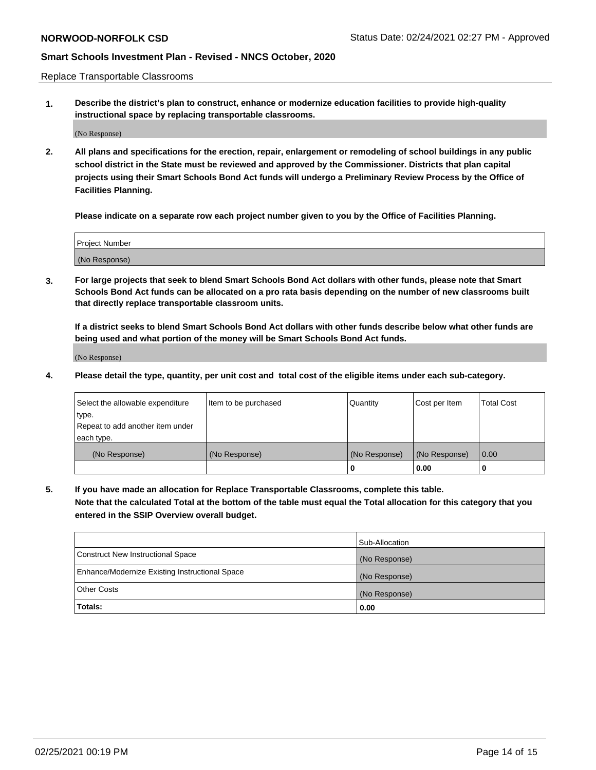Replace Transportable Classrooms

**1. Describe the district's plan to construct, enhance or modernize education facilities to provide high-quality instructional space by replacing transportable classrooms.**

(No Response)

**2. All plans and specifications for the erection, repair, enlargement or remodeling of school buildings in any public school district in the State must be reviewed and approved by the Commissioner. Districts that plan capital projects using their Smart Schools Bond Act funds will undergo a Preliminary Review Process by the Office of Facilities Planning.**

**Please indicate on a separate row each project number given to you by the Office of Facilities Planning.**

| Project Number |  |
|----------------|--|
|                |  |
|                |  |
|                |  |
|                |  |
| (No Response)  |  |
|                |  |
|                |  |
|                |  |

**3. For large projects that seek to blend Smart Schools Bond Act dollars with other funds, please note that Smart Schools Bond Act funds can be allocated on a pro rata basis depending on the number of new classrooms built that directly replace transportable classroom units.**

**If a district seeks to blend Smart Schools Bond Act dollars with other funds describe below what other funds are being used and what portion of the money will be Smart Schools Bond Act funds.**

(No Response)

**4. Please detail the type, quantity, per unit cost and total cost of the eligible items under each sub-category.**

| Select the allowable expenditure           | Item to be purchased | Quantity      | Cost per Item | <b>Total Cost</b> |
|--------------------------------------------|----------------------|---------------|---------------|-------------------|
| ∣type.<br>Repeat to add another item under |                      |               |               |                   |
| each type.                                 |                      |               |               |                   |
| (No Response)                              | (No Response)        | (No Response) | (No Response) | 0.00              |
|                                            |                      | 0             | 0.00          |                   |

**5. If you have made an allocation for Replace Transportable Classrooms, complete this table. Note that the calculated Total at the bottom of the table must equal the Total allocation for this category that you entered in the SSIP Overview overall budget.**

|                                                | Sub-Allocation |
|------------------------------------------------|----------------|
| Construct New Instructional Space              | (No Response)  |
| Enhance/Modernize Existing Instructional Space | (No Response)  |
| Other Costs                                    | (No Response)  |
| Totals:                                        | 0.00           |